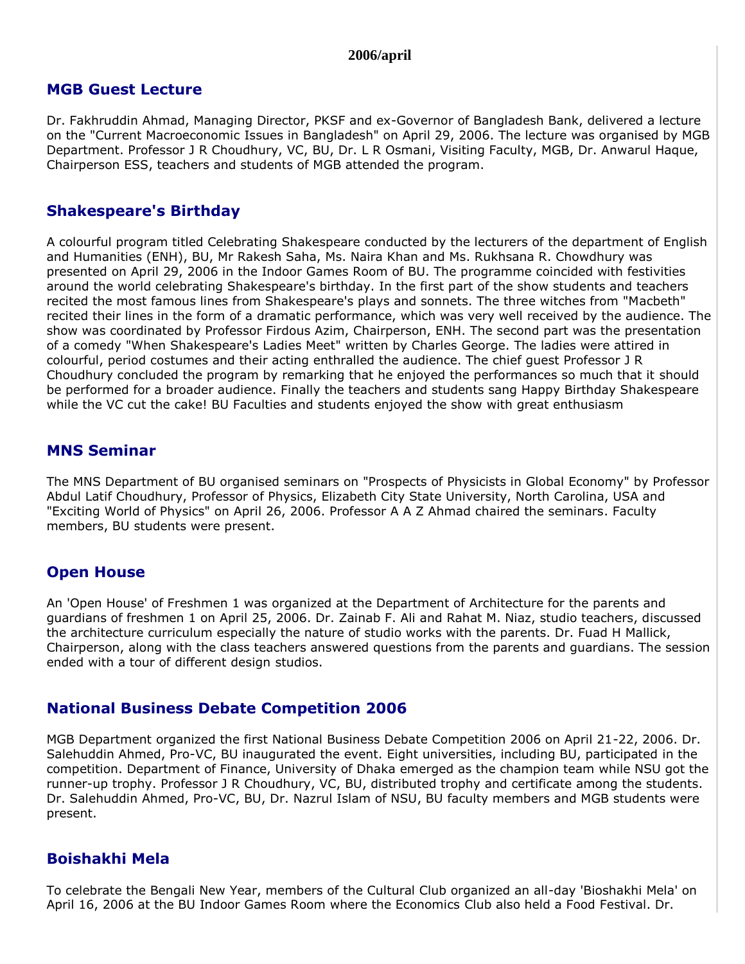#### **2006/april**

#### **MGB Guest Lecture**

Dr. Fakhruddin Ahmad, Managing Director, PKSF and ex-Governor of Bangladesh Bank, delivered a lecture on the "Current Macroeconomic Issues in Bangladesh" on April 29, 2006. The lecture was organised by MGB Department. Professor J R Choudhury, VC, BU, Dr. L R Osmani, Visiting Faculty, MGB, Dr. Anwarul Haque, Chairperson ESS, teachers and students of MGB attended the program.

### **Shakespeare's Birthday**

A colourful program titled Celebrating Shakespeare conducted by the lecturers of the department of English and Humanities (ENH), BU, Mr Rakesh Saha, Ms. Naira Khan and Ms. Rukhsana R. Chowdhury was presented on April 29, 2006 in the Indoor Games Room of BU. The programme coincided with festivities around the world celebrating Shakespeare's birthday. In the first part of the show students and teachers recited the most famous lines from Shakespeare's plays and sonnets. The three witches from "Macbeth" recited their lines in the form of a dramatic performance, which was very well received by the audience. The show was coordinated by Professor Firdous Azim, Chairperson, ENH. The second part was the presentation of a comedy "When Shakespeare's Ladies Meet" written by Charles George. The ladies were attired in colourful, period costumes and their acting enthralled the audience. The chief guest Professor J R Choudhury concluded the program by remarking that he enjoyed the performances so much that it should be performed for a broader audience. Finally the teachers and students sang Happy Birthday Shakespeare while the VC cut the cake! BU Faculties and students enjoyed the show with great enthusiasm

### **MNS Seminar**

The MNS Department of BU organised seminars on "Prospects of Physicists in Global Economy" by Professor Abdul Latif Choudhury, Professor of Physics, Elizabeth City State University, North Carolina, USA and "Exciting World of Physics" on April 26, 2006. Professor A A Z Ahmad chaired the seminars. Faculty members, BU students were present.

### **Open House**

An 'Open House' of Freshmen 1 was organized at the Department of Architecture for the parents and guardians of freshmen 1 on April 25, 2006. Dr. Zainab F. Ali and Rahat M. Niaz, studio teachers, discussed the architecture curriculum especially the nature of studio works with the parents. Dr. Fuad H Mallick, Chairperson, along with the class teachers answered questions from the parents and guardians. The session ended with a tour of different design studios.

# **National Business Debate Competition 2006**

MGB Department organized the first National Business Debate Competition 2006 on April 21-22, 2006. Dr. Salehuddin Ahmed, Pro-VC, BU inaugurated the event. Eight universities, including BU, participated in the competition. Department of Finance, University of Dhaka emerged as the champion team while NSU got the runner-up trophy. Professor J R Choudhury, VC, BU, distributed trophy and certificate among the students. Dr. Salehuddin Ahmed, Pro-VC, BU, Dr. Nazrul Islam of NSU, BU faculty members and MGB students were present.

# **Boishakhi Mela**

To celebrate the Bengali New Year, members of the Cultural Club organized an all-day 'Bioshakhi Mela' on April 16, 2006 at the BU Indoor Games Room where the Economics Club also held a Food Festival. Dr.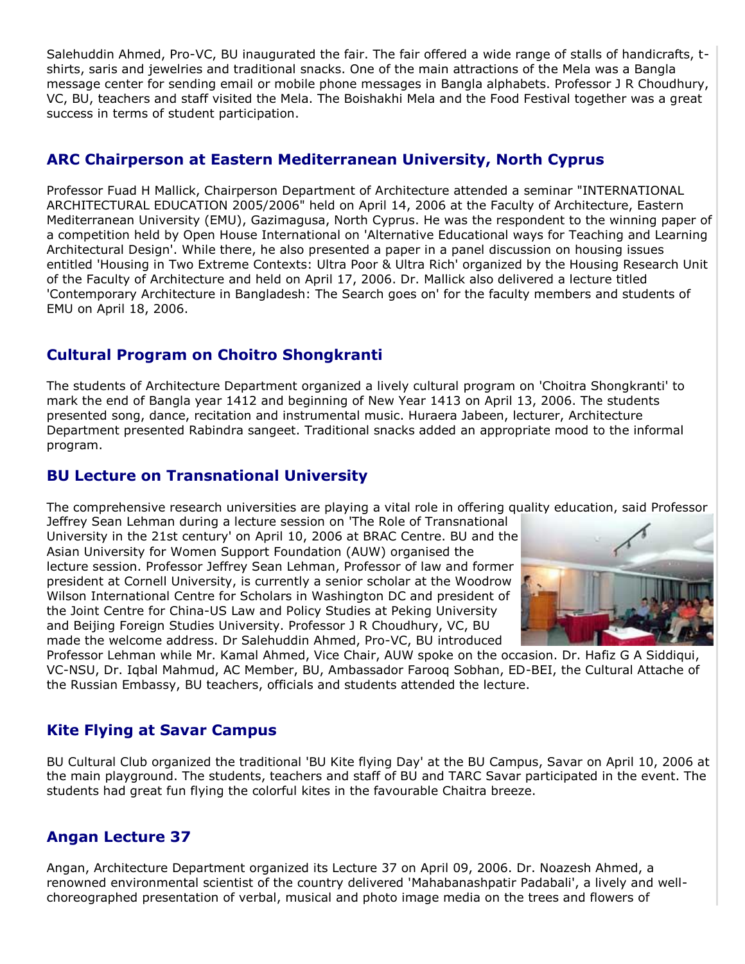Salehuddin Ahmed, Pro-VC, BU inaugurated the fair. The fair offered a wide range of stalls of handicrafts, tshirts, saris and jewelries and traditional snacks. One of the main attractions of the Mela was a Bangla message center for sending email or mobile phone messages in Bangla alphabets. Professor J R Choudhury, VC, BU, teachers and staff visited the Mela. The Boishakhi Mela and the Food Festival together was a great success in terms of student participation.

# **ARC Chairperson at Eastern Mediterranean University, North Cyprus**

Professor Fuad H Mallick, Chairperson Department of Architecture attended a seminar "INTERNATIONAL ARCHITECTURAL EDUCATION 2005/2006" held on April 14, 2006 at the Faculty of Architecture, Eastern Mediterranean University (EMU), Gazimagusa, North Cyprus. He was the respondent to the winning paper of a competition held by Open House International on 'Alternative Educational ways for Teaching and Learning Architectural Design'. While there, he also presented a paper in a panel discussion on housing issues entitled 'Housing in Two Extreme Contexts: Ultra Poor & Ultra Rich' organized by the Housing Research Unit of the Faculty of Architecture and held on April 17, 2006. Dr. Mallick also delivered a lecture titled 'Contemporary Architecture in Bangladesh: The Search goes on' for the faculty members and students of EMU on April 18, 2006.

# **Cultural Program on Choitro Shongkranti**

The students of Architecture Department organized a lively cultural program on 'Choitra Shongkranti' to mark the end of Bangla year 1412 and beginning of New Year 1413 on April 13, 2006. The students presented song, dance, recitation and instrumental music. Huraera Jabeen, lecturer, Architecture Department presented Rabindra sangeet. Traditional snacks added an appropriate mood to the informal program.

# **BU Lecture on Transnational University**

The comprehensive research universities are playing a vital role in offering quality education, said Professor

Jeffrey Sean Lehman during a lecture session on 'The Role of Transnational University in the 21st century' on April 10, 2006 at BRAC Centre. BU and the Asian University for Women Support Foundation (AUW) organised the lecture session. Professor Jeffrey Sean Lehman, Professor of law and former president at Cornell University, is currently a senior scholar at the Woodrow Wilson International Centre for Scholars in Washington DC and president of the Joint Centre for China-US Law and Policy Studies at Peking University and Beijing Foreign Studies University. Professor J R Choudhury, VC, BU made the welcome address. Dr Salehuddin Ahmed, Pro-VC, BU introduced



Professor Lehman while Mr. Kamal Ahmed, Vice Chair, AUW spoke on the occasion. Dr. Hafiz G A Siddiqui, VC-NSU, Dr. Iqbal Mahmud, AC Member, BU, Ambassador Farooq Sobhan, ED-BEI, the Cultural Attache of the Russian Embassy, BU teachers, officials and students attended the lecture.

# **Kite Flying at Savar Campus**

BU Cultural Club organized the traditional 'BU Kite flying Day' at the BU Campus, Savar on April 10, 2006 at the main playground. The students, teachers and staff of BU and TARC Savar participated in the event. The students had great fun flying the colorful kites in the favourable Chaitra breeze.

# **Angan Lecture 37**

Angan, Architecture Department organized its Lecture 37 on April 09, 2006. Dr. Noazesh Ahmed, a renowned environmental scientist of the country delivered 'Mahabanashpatir Padabali', a lively and wellchoreographed presentation of verbal, musical and photo image media on the trees and flowers of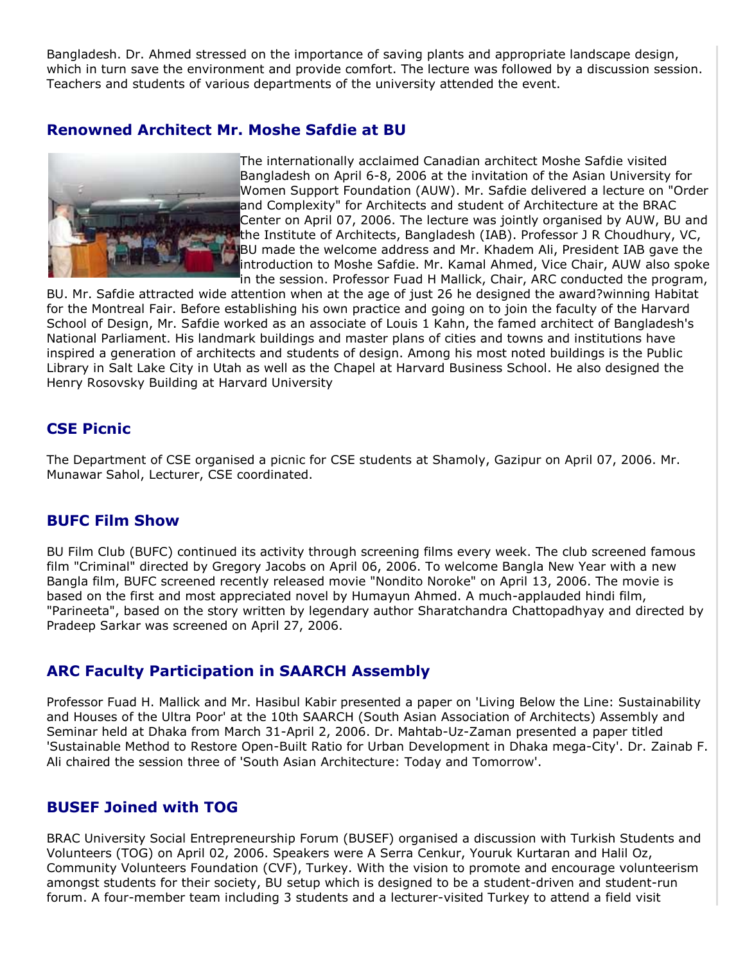Bangladesh. Dr. Ahmed stressed on the importance of saving plants and appropriate landscape design, which in turn save the environment and provide comfort. The lecture was followed by a discussion session. Teachers and students of various departments of the university attended the event.

### **Renowned Architect Mr. Moshe Safdie at BU**



The internationally acclaimed Canadian architect Moshe Safdie visited Bangladesh on April 6-8, 2006 at the invitation of the Asian University for Women Support Foundation (AUW). Mr. Safdie delivered a lecture on "Order and Complexity" for Architects and student of Architecture at the BRAC Center on April 07, 2006. The lecture was jointly organised by AUW, BU and the Institute of Architects, Bangladesh (IAB). Professor J R Choudhury, VC, BU made the welcome address and Mr. Khadem Ali, President IAB gave the introduction to Moshe Safdie. Mr. Kamal Ahmed, Vice Chair, AUW also spoke in the session. Professor Fuad H Mallick, Chair, ARC conducted the program,

BU. Mr. Safdie attracted wide attention when at the age of just 26 he designed the award?winning Habitat for the Montreal Fair. Before establishing his own practice and going on to join the faculty of the Harvard School of Design, Mr. Safdie worked as an associate of Louis 1 Kahn, the famed architect of Bangladesh's National Parliament. His landmark buildings and master plans of cities and towns and institutions have inspired a generation of architects and students of design. Among his most noted buildings is the Public Library in Salt Lake City in Utah as well as the Chapel at Harvard Business School. He also designed the Henry Rosovsky Building at Harvard University

### **CSE Picnic**

The Department of CSE organised a picnic for CSE students at Shamoly, Gazipur on April 07, 2006. Mr. Munawar Sahol, Lecturer, CSE coordinated.

### **BUFC Film Show**

BU Film Club (BUFC) continued its activity through screening films every week. The club screened famous film "Criminal" directed by Gregory Jacobs on April 06, 2006. To welcome Bangla New Year with a new Bangla film, BUFC screened recently released movie "Nondito Noroke" on April 13, 2006. The movie is based on the first and most appreciated novel by Humayun Ahmed. A much-applauded hindi film, "Parineeta", based on the story written by legendary author Sharatchandra Chattopadhyay and directed by Pradeep Sarkar was screened on April 27, 2006.

# **ARC Faculty Participation in SAARCH Assembly**

Professor Fuad H. Mallick and Mr. Hasibul Kabir presented a paper on 'Living Below the Line: Sustainability and Houses of the Ultra Poor' at the 10th SAARCH (South Asian Association of Architects) Assembly and Seminar held at Dhaka from March 31-April 2, 2006. Dr. Mahtab-Uz-Zaman presented a paper titled 'Sustainable Method to Restore Open-Built Ratio for Urban Development in Dhaka mega-City'. Dr. Zainab F. Ali chaired the session three of 'South Asian Architecture: Today and Tomorrow'.

# **BUSEF Joined with TOG**

BRAC University Social Entrepreneurship Forum (BUSEF) organised a discussion with Turkish Students and Volunteers (TOG) on April 02, 2006. Speakers were A Serra Cenkur, Youruk Kurtaran and Halil Oz, Community Volunteers Foundation (CVF), Turkey. With the vision to promote and encourage volunteerism amongst students for their society, BU setup which is designed to be a student-driven and student-run forum. A four-member team including 3 students and a lecturer-visited Turkey to attend a field visit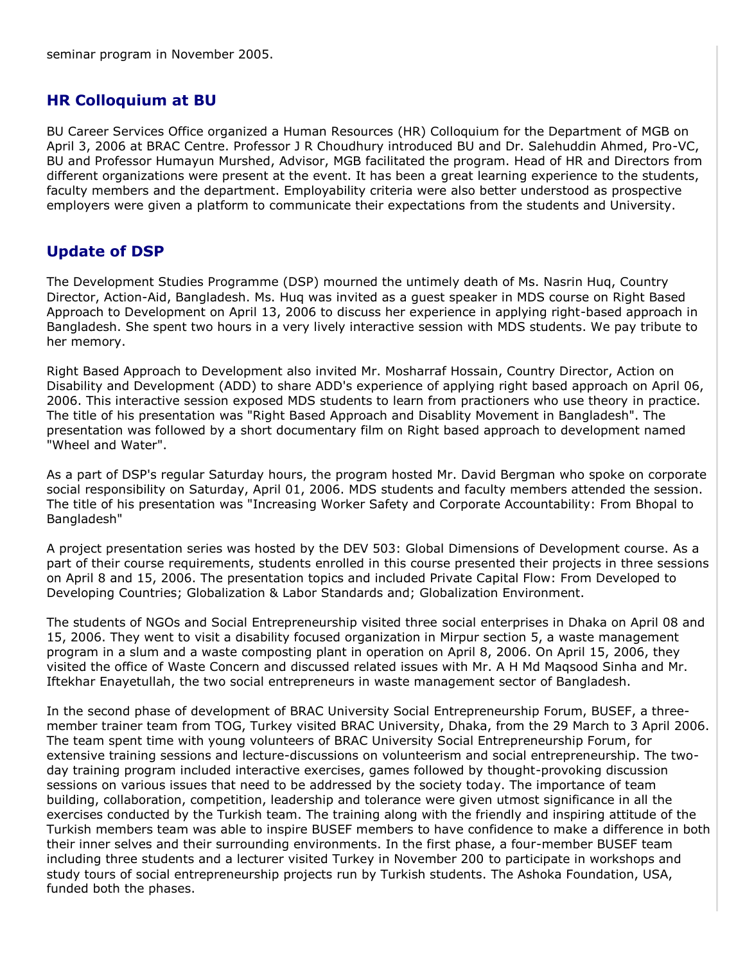# **HR Colloquium at BU**

BU Career Services Office organized a Human Resources (HR) Colloquium for the Department of MGB on April 3, 2006 at BRAC Centre. Professor J R Choudhury introduced BU and Dr. Salehuddin Ahmed, Pro-VC, BU and Professor Humayun Murshed, Advisor, MGB facilitated the program. Head of HR and Directors from different organizations were present at the event. It has been a great learning experience to the students, faculty members and the department. Employability criteria were also better understood as prospective employers were given a platform to communicate their expectations from the students and University.

# **Update of DSP**

The Development Studies Programme (DSP) mourned the untimely death of Ms. Nasrin Huq, Country Director, Action-Aid, Bangladesh. Ms. Huq was invited as a guest speaker in MDS course on Right Based Approach to Development on April 13, 2006 to discuss her experience in applying right-based approach in Bangladesh. She spent two hours in a very lively interactive session with MDS students. We pay tribute to her memory.

Right Based Approach to Development also invited Mr. Mosharraf Hossain, Country Director, Action on Disability and Development (ADD) to share ADD's experience of applying right based approach on April 06, 2006. This interactive session exposed MDS students to learn from practioners who use theory in practice. The title of his presentation was "Right Based Approach and Disablity Movement in Bangladesh". The presentation was followed by a short documentary film on Right based approach to development named "Wheel and Water".

As a part of DSP's regular Saturday hours, the program hosted Mr. David Bergman who spoke on corporate social responsibility on Saturday, April 01, 2006. MDS students and faculty members attended the session. The title of his presentation was "Increasing Worker Safety and Corporate Accountability: From Bhopal to Bangladesh"

A project presentation series was hosted by the DEV 503: Global Dimensions of Development course. As a part of their course requirements, students enrolled in this course presented their projects in three sessions on April 8 and 15, 2006. The presentation topics and included Private Capital Flow: From Developed to Developing Countries; Globalization & Labor Standards and; Globalization Environment.

The students of NGOs and Social Entrepreneurship visited three social enterprises in Dhaka on April 08 and 15, 2006. They went to visit a disability focused organization in Mirpur section 5, a waste management program in a slum and a waste composting plant in operation on April 8, 2006. On April 15, 2006, they visited the office of Waste Concern and discussed related issues with Mr. A H Md Maqsood Sinha and Mr. Iftekhar Enayetullah, the two social entrepreneurs in waste management sector of Bangladesh.

In the second phase of development of BRAC University Social Entrepreneurship Forum, BUSEF, a threemember trainer team from TOG, Turkey visited BRAC University, Dhaka, from the 29 March to 3 April 2006. The team spent time with young volunteers of BRAC University Social Entrepreneurship Forum, for extensive training sessions and lecture-discussions on volunteerism and social entrepreneurship. The twoday training program included interactive exercises, games followed by thought-provoking discussion sessions on various issues that need to be addressed by the society today. The importance of team building, collaboration, competition, leadership and tolerance were given utmost significance in all the exercises conducted by the Turkish team. The training along with the friendly and inspiring attitude of the Turkish members team was able to inspire BUSEF members to have confidence to make a difference in both their inner selves and their surrounding environments. In the first phase, a four-member BUSEF team including three students and a lecturer visited Turkey in November 200 to participate in workshops and study tours of social entrepreneurship projects run by Turkish students. The Ashoka Foundation, USA, funded both the phases.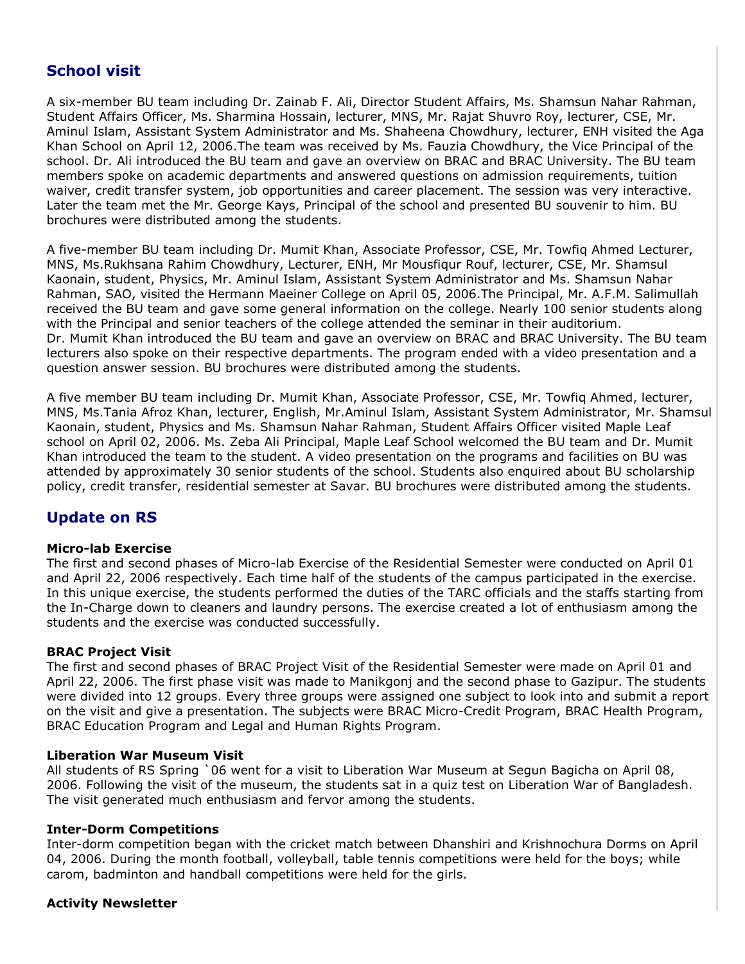# **School visit**

A six-member BU team including Dr. Zainab F. Ali, Director Student Affairs, Ms. Shamsun Nahar Rahman, Student Affairs Officer, Ms. Sharmina Hossain, lecturer, MNS, Mr. Rajat Shuvro Roy, lecturer, CSE, Mr. Aminul Islam, Assistant System Administrator and Ms. Shaheena Chowdhury, lecturer, ENH visited the Aga Khan School on April 12, 2006.The team was received by Ms. Fauzia Chowdhury, the Vice Principal of the school. Dr. Ali introduced the BU team and gave an overview on BRAC and BRAC University. The BU team members spoke on academic departments and answered questions on admission requirements, tuition waiver, credit transfer system, job opportunities and career placement. The session was very interactive. Later the team met the Mr. George Kays, Principal of the school and presented BU souvenir to him. BU brochures were distributed among the students.

A five-member BU team including Dr. Mumit Khan, Associate Professor, CSE, Mr. Towfiq Ahmed Lecturer, MNS, Ms.Rukhsana Rahim Chowdhury, Lecturer, ENH, Mr Mousfiqur Rouf, lecturer, CSE, Mr. Shamsul Kaonain, student, Physics, Mr. Aminul Islam, Assistant System Administrator and Ms. Shamsun Nahar Rahman, SAO, visited the Hermann Maeiner College on April 05, 2006.The Principal, Mr. A.F.M. Salimullah received the BU team and gave some general information on the college. Nearly 100 senior students along with the Principal and senior teachers of the college attended the seminar in their auditorium. Dr. Mumit Khan introduced the BU team and gave an overview on BRAC and BRAC University. The BU team lecturers also spoke on their respective departments. The program ended with a video presentation and a question answer session. BU brochures were distributed among the students.

A five member BU team including Dr. Mumit Khan, Associate Professor, CSE, Mr. Towfiq Ahmed, lecturer, MNS, Ms.Tania Afroz Khan, lecturer, English, Mr.Aminul Islam, Assistant System Administrator, Mr. Shamsul Kaonain, student, Physics and Ms. Shamsun Nahar Rahman, Student Affairs Officer visited Maple Leaf school on April 02, 2006. Ms. Zeba Ali Principal, Maple Leaf School welcomed the BU team and Dr. Mumit Khan introduced the team to the student. A video presentation on the programs and facilities on BU was attended by approximately 30 senior students of the school. Students also enquired about BU scholarship policy, credit transfer, residential semester at Savar. BU brochures were distributed among the students.

# **Update on RS**

#### **Micro-lab Exercise**

The first and second phases of Micro-lab Exercise of the Residential Semester were conducted on April 01 and April 22, 2006 respectively. Each time half of the students of the campus participated in the exercise. In this unique exercise, the students performed the duties of the TARC officials and the staffs starting from the In-Charge down to cleaners and laundry persons. The exercise created a lot of enthusiasm among the students and the exercise was conducted successfully.

#### **BRAC Project Visit**

The first and second phases of BRAC Project Visit of the Residential Semester were made on April 01 and April 22, 2006. The first phase visit was made to Manikgonj and the second phase to Gazipur. The students were divided into 12 groups. Every three groups were assigned one subject to look into and submit a report on the visit and give a presentation. The subjects were BRAC Micro-Credit Program, BRAC Health Program, BRAC Education Program and Legal and Human Rights Program.

#### **Liberation War Museum Visit**

All students of RS Spring `06 went for a visit to Liberation War Museum at Segun Bagicha on April 08, 2006. Following the visit of the museum, the students sat in a quiz test on Liberation War of Bangladesh. The visit generated much enthusiasm and fervor among the students.

#### **Inter-Dorm Competitions**

Inter-dorm competition began with the cricket match between Dhanshiri and Krishnochura Dorms on April 04, 2006. During the month football, volleyball, table tennis competitions were held for the boys; while carom, badminton and handball competitions were held for the girls.

#### **Activity Newsletter**